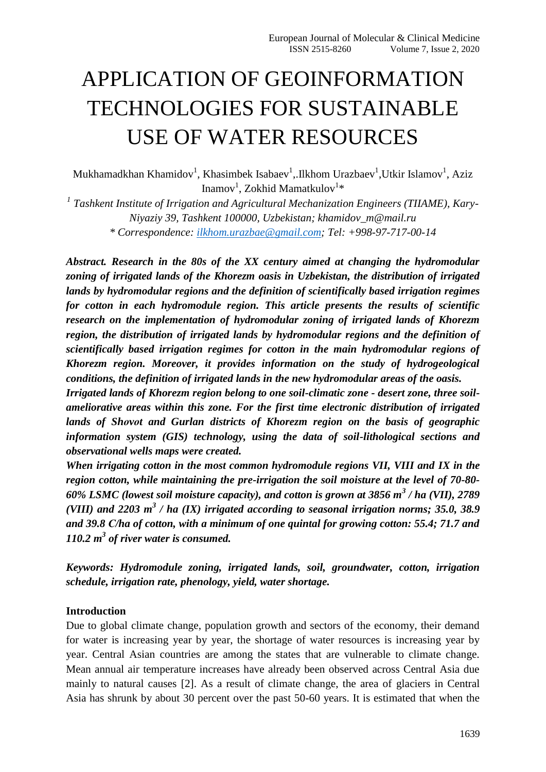# APPLICATION OF GEOINFORMATION TECHNOLOGIES FOR SUSTAINABLE USE OF WATER RESOURCES

Mukhamadkhan Khamidov<sup>1</sup>, Khasimbek Isabaev<sup>1</sup>, Ilkhom Urazbaev<sup>1</sup>, Utkir Islamov<sup>1</sup>, Aziz Inamov<sup>1</sup>, Zokhid Mamatkulov<sup>1</sup>\*

<sup>1</sup> Tashkent Institute of Irrigation and Agricultural Mechanization Engineers (TIIAME), Kary-*Niyaziy 39, Tashkent 100000, Uzbekistan; khamidov\_m@mail.ru \* Correspondence: [ilkhom.urazbae@gmail.com;](mailto:ilkhom.urazbae@gmail.com) Tel: +998-97-717-00-14*

*Abstract. Research in the 80s of the XX century aimed at changing the hydromodular zoning of irrigated lands of the Khorezm oasis in Uzbekistan, the distribution of irrigated lands by hydromodular regions and the definition of scientifically based irrigation regimes for cotton in each hydromodule region. This article presents the results of scientific research on the implementation of hydromodular zoning of irrigated lands of Khorezm region, the distribution of irrigated lands by hydromodular regions and the definition of scientifically based irrigation regimes for cotton in the main hydromodular regions of Khorezm region. Moreover, it provides information on the study of hydrogeological conditions, the definition of irrigated lands in the new hydromodular areas of the oasis.*

*Irrigated lands of Khorezm region belong to one soil-climatic zone - desert zone, three soilameliorative areas within this zone. For the first time electronic distribution of irrigated lands of Shоvоt and Gurlan districts of Khorezm region on the basis of geographic information system (GIS) technology, using the data of soil-lithological sections and observational wells maps were created.*

*When irrigating cotton in the most common hydromodule regions VII, VIII and IX in the region cotton, while maintaining the pre-irrigation the soil moisture at the level of 70-80- 60% LSMC (lowest soil moisture capacity), and cotton is grown at 3856 m<sup>3</sup> / ha (VII), 2789 (VIII) and 2203 m<sup>3</sup> / ha (IX) irrigated according to seasonal irrigation norms; 35.0, 38.9 and 39.8 С/ha of cotton, with a minimum of one quintal for growing cotton: 55.4; 71.7 and 110.2 m<sup>3</sup> of river water is consumed.*

*Keywords: Hydromodule zoning, irrigated lands, soil, groundwater, cotton, irrigation schedule, irrigation rate, phenology, yield, water shortage.*

## **Introduction**

Due to global climate change, population growth and sectors of the economy, their demand for water is increasing year by year, the shortage of water resources is increasing year by year. Central Asian countries are among the states that are vulnerable to climate change. Mean annual air temperature increases have already been observed across Central Asia due mainly to natural causes [2]. As a result of climate change, the area of glaciers in Central Asia has shrunk by about 30 percent over the past 50-60 years. It is estimated that when the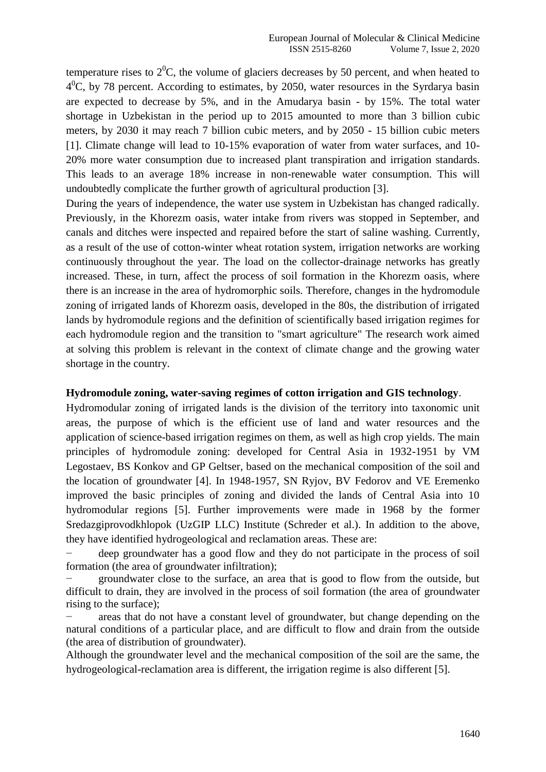temperature rises to  $2^{0}C$ , the volume of glaciers decreases by 50 percent, and when heated to  $4^0$ C, by 78 percent. According to estimates, by 2050, water resources in the Syrdarya basin are expected to decrease by 5%, and in the Amudarya basin - by 15%. The total water shortage in Uzbekistan in the period up to 2015 amounted to more than 3 billion cubic meters, by 2030 it may reach 7 billion cubic meters, and by 2050 - 15 billion cubic meters [1]. Climate change will lead to 10-15% evaporation of water from water surfaces, and 10- 20% more water consumption due to increased plant transpiration and irrigation standards. This leads to an average 18% increase in non-renewable water consumption. This will undoubtedly complicate the further growth of agricultural production [3].

During the years of independence, the water use system in Uzbekistan has changed radically. Previously, in the Khorezm oasis, water intake from rivers was stopped in September, and canals and ditches were inspected and repaired before the start of saline washing. Currently, as a result of the use of cotton-winter wheat rotation system, irrigation networks are working continuously throughout the year. The load on the collector-drainage networks has greatly increased. These, in turn, affect the process of soil formation in the Khorezm oasis, where there is an increase in the area of hydromorphic soils. Therefore, changes in the hydromodule zoning of irrigated lands of Khorezm oasis, developed in the 80s, the distribution of irrigated lands by hydromodule regions and the definition of scientifically based irrigation regimes for each hydromodule region and the transition to "smart agriculture" The research work aimed at solving this problem is relevant in the context of climate change and the growing water shortage in the country.

### **Hydromodule zoning, water-saving regimes of cotton irrigation and GIS technology**.

Hydromodular zoning of irrigated lands is the division of the territory into taxonomic unit areas, the purpose of which is the efficient use of land and water resources and the application of science-based irrigation regimes on them, as well as high crop yields. The main principles of hydromodule zoning: developed for Central Asia in 1932-1951 by VM Legostaev, BS Konkov and GP Geltser, based on the mechanical composition of the soil and the location of groundwater [4]. In 1948-1957, SN Ryjov, BV Fedorov and VE Eremenko improved the basic principles of zoning and divided the lands of Central Asia into 10 hydromodular regions [5]. Further improvements were made in 1968 by the former Sredazgiprovodkhlopok (UzGIP LLC) Institute (Schreder et al.). In addition to the above, they have identified hydrogeological and reclamation areas. These are:

− deep groundwater has a good flow and they do not participate in the process of soil formation (the area of groundwater infiltration);

groundwater close to the surface, an area that is good to flow from the outside, but difficult to drain, they are involved in the process of soil formation (the area of groundwater rising to the surface);

areas that do not have a constant level of groundwater, but change depending on the natural conditions of a particular place, and are difficult to flow and drain from the outside (the area of distribution of groundwater).

Although the groundwater level and the mechanical composition of the soil are the same, the hydrogeological-reclamation area is different, the irrigation regime is also different [5].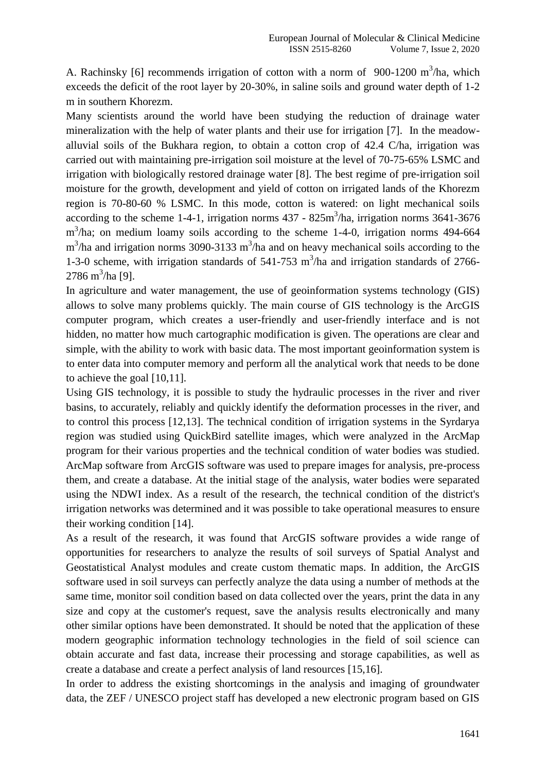A. Rachinsky [6] recommends irrigation of cotton with a norm of  $900-1200$  m<sup>3</sup>/ha, which exceeds the deficit of the root layer by 20-30%, in saline soils and ground water depth of 1-2 m in southern Khorezm.

Many scientists around the world have been studying the reduction of drainage water mineralization with the help of water plants and their use for irrigation [7]. In the meadowalluvial soils of the Bukhara region, to obtain a cotton crop of 42.4 C/ha, irrigation was carried out with maintaining pre-irrigation soil moisture at the level of 70-75-65% LSMC and irrigation with biologically restored drainage water [8]. The best regime of pre-irrigation soil moisture for the growth, development and yield of cotton on irrigated lands of the Khorezm region is 70-80-60 % LSMC. In this mode, cotton is watered: on light mechanical soils according to the scheme 1-4-1, irrigation norms  $437 - 825 \text{m}^3/\text{ha}$ , irrigation norms  $3641 - 3676$ m<sup>3</sup>/ha; on medium loamy soils according to the scheme 1-4-0, irrigation norms 494-664  $m<sup>3</sup>/h$ a and irrigation norms 3090-3133 m<sup>3</sup>/ha and on heavy mechanical soils according to the 1-3-0 scheme, with irrigation standards of  $541-753$  m<sup>3</sup>/ha and irrigation standards of 2766-2786 m<sup>3</sup>/ha [9].

In agriculture and water management, the use of geoinformation systems technology (GIS) allows to solve many problems quickly. The main course of GIS technology is the ArcGIS computer program, which creates a user-friendly and user-friendly interface and is not hidden, no matter how much cartographic modification is given. The operations are clear and simple, with the ability to work with basic data. The most important geoinformation system is to enter data into computer memory and perform all the analytical work that needs to be done to achieve the goal [10,11].

Using GIS technology, it is possible to study the hydraulic processes in the river and river basins, to accurately, reliably and quickly identify the deformation processes in the river, and to control this process [12,13]. The technical condition of irrigation systems in the Syrdarya region was studied using QuickBird satellite images, which were analyzed in the ArcMap program for their various properties and the technical condition of water bodies was studied. ArcMap software from ArcGIS software was used to prepare images for analysis, pre-process them, and create a database. At the initial stage of the analysis, water bodies were separated using the NDWI index. As a result of the research, the technical condition of the district's irrigation networks was determined and it was possible to take operational measures to ensure their working condition [14].

As a result of the research, it was found that ArcGIS software provides a wide range of opportunities for researchers to analyze the results of soil surveys of Spatial Analyst and Geostatistical Analyst modules and create custom thematic maps. In addition, the ArcGIS software used in soil surveys can perfectly analyze the data using a number of methods at the same time, monitor soil condition based on data collected over the years, print the data in any size and copy at the customer's request, save the analysis results electronically and many other similar options have been demonstrated. It should be noted that the application of these modern geographic information technology technologies in the field of soil science can obtain accurate and fast data, increase their processing and storage capabilities, as well as create a database and create a perfect analysis of land resources [15,16].

In order to address the existing shortcomings in the analysis and imaging of groundwater data, the ZEF / UNESCO project staff has developed a new electronic program based on GIS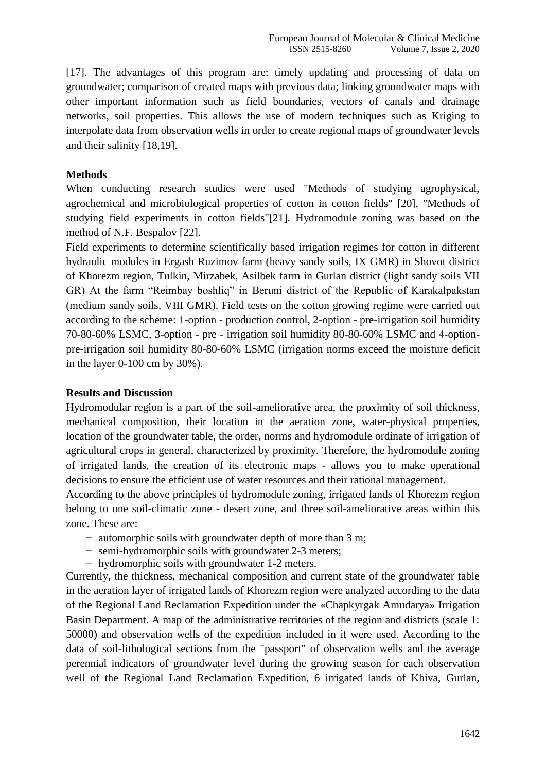[17]. The advantages of this program are: timely updating and processing of data on groundwater; comparison of created maps with previous data; linking groundwater maps with other important information such as field boundaries, vectors of canals and drainage networks, soil properties. This allows the use of modern techniques such as Kriging to interpolate data from observation wells in order to create regional maps of groundwater levels and their salinity [18,19].

## **Methods**

When conducting research studies were used "Methods of studying agrophysical, agrochemical and microbiological properties of cotton in cotton fields" [20], "Methods of studying field experiments in cotton fields"[21]. Hydromodule zoning was based on the method of N.F. Bespalov [22].

Field experiments to determine scientifically based irrigation regimes for cotton in different hydraulic modules in Ergash Ruzimov farm (heavy sandy soils, IX GMR) in Shovot district of Khorezm region, Tulkin, Mirzabek, Asilbek farm in Gurlan district (light sandy soils VII GR) At the farm "Reimbay boshliq" in Beruni district of the Republic of Karakalpakstan (medium sandy soils, VIII GMR). Field tests on the cotton growing regime were carried out according to the scheme: 1-option - production control, 2-option - pre-irrigation soil humidity 70-80-60% LSMC, 3-option - pre - irrigation soil humidity 80-80-60% LSMC and 4-optionpre-irrigation soil humidity 80-80-60% LSMC (irrigation norms exceed the moisture deficit in the layer 0-100 cm by 30%).

#### **Results and Discussion**

Hydromodular region is a part of the soil-ameliorative area, the proximity of soil thickness, mechanical composition, their location in the aeration zone, water-physical properties, location of the groundwater table, the order, norms and hydromodule ordinate of irrigation of agricultural crops in general, characterized by proximity. Therefore, the hydromodule zoning of irrigated lands, the creation of its electronic maps - allows you to make operational decisions to ensure the efficient use of water resources and their rational management.

According to the above principles of hydromodule zoning, irrigated lands of Khorezm region belong to one soil-climatic zone - desert zone, and three soil-ameliorative areas within this zone. These are:

- − automorphic soils with groundwater depth of more than 3 m;
- − semi-hydromorphic soils with groundwater 2-3 meters;
- − hydromorphic soils with groundwater 1-2 meters.

Currently, the thickness, mechanical composition and current state of the groundwater table in the aeration layer of irrigated lands of Khorezm region were analyzed according to the data of the Regional Land Reclamation Expedition under the «Chapkyrgak Amudarya» Irrigation Basin Department. A map of the administrative territories of the region and districts (scale 1: 50000) and observation wells of the expedition included in it were used. According to the data of soil-lithological sections from the "passport" of observation wells and the average perennial indicators of groundwater level during the growing season for each observation well of the Regional Land Reclamation Expedition, 6 irrigated lands of Khiva, Gurlan,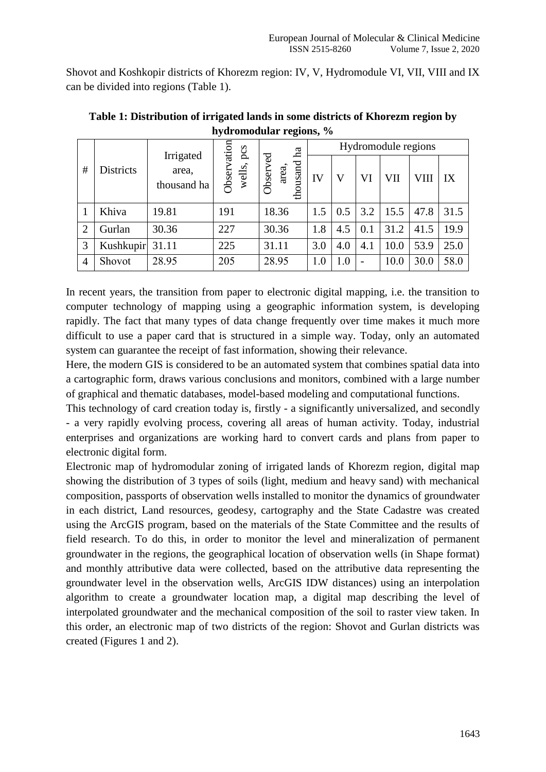Shovot and Koshkopir districts of Khorezm region: IV, V, Hydromodule VI, VII, VIII and IX can be divided into regions (Table 1).

| #              | Districts       | Irrigated<br>area,<br>thousand ha | Observation<br>wells, pcs | ha<br>Observed<br>thousand<br>area, | Hydromodule regions |     |                          |      |      |      |
|----------------|-----------------|-----------------------------------|---------------------------|-------------------------------------|---------------------|-----|--------------------------|------|------|------|
|                |                 |                                   |                           |                                     | IV                  | V   | VI                       | VII  | VIII | IX   |
|                | Khiva           | 19.81                             | 191                       | 18.36                               | 1.5                 | 0.5 | 3.2                      | 15.5 | 47.8 | 31.5 |
| $\overline{2}$ | Gurlan          | 30.36                             | 227                       | 30.36                               | 1.8                 | 4.5 | 0.1                      | 31.2 | 41.5 | 19.9 |
| 3              | Kushkupir 31.11 |                                   | 225                       | 31.11                               | 3.0                 | 4.0 | 4.1                      | 10.0 | 53.9 | 25.0 |
| $\overline{4}$ | Shovot          | 28.95                             | 205                       | 28.95                               | 1.0                 | 1.0 | $\overline{\phantom{0}}$ | 10.0 | 30.0 | 58.0 |

**Table 1: Distribution of irrigated lands in some districts of Khorezm region by hydromodular regions, %**

In recent years, the transition from paper to electronic digital mapping, i.e. the transition to computer technology of mapping using a geographic information system, is developing rapidly. The fact that many types of data change frequently over time makes it much more difficult to use a paper card that is structured in a simple way. Today, only an automated system can guarantee the receipt of fast information, showing their relevance.

Here, the modern GIS is considered to be an automated system that combines spatial data into a cartographic form, draws various conclusions and monitors, combined with a large number of graphical and thematic databases, model-based modeling and computational functions.

This technology of card creation today is, firstly - a significantly universalized, and secondly - a very rapidly evolving process, covering all areas of human activity. Today, industrial enterprises and organizations are working hard to convert cards and plans from paper to electronic digital form.

Electronic map of hydromodular zoning of irrigated lands of Khorezm region, digital map showing the distribution of 3 types of soils (light, medium and heavy sand) with mechanical composition, passports of observation wells installed to monitor the dynamics of groundwater in each district, Land resources, geodesy, cartography and the State Cadastre was created using the ArcGIS program, based on the materials of the State Committee and the results of field research. To do this, in order to monitor the level and mineralization of permanent groundwater in the regions, the geographical location of observation wells (in Shape format) and monthly attributive data were collected, based on the attributive data representing the groundwater level in the observation wells, ArcGIS IDW distances) using an interpolation algorithm to create a groundwater location map, a digital map describing the level of interpolated groundwater and the mechanical composition of the soil to raster view taken. In this order, an electronic map of two districts of the region: Shovot and Gurlan districts was created (Figures 1 and 2).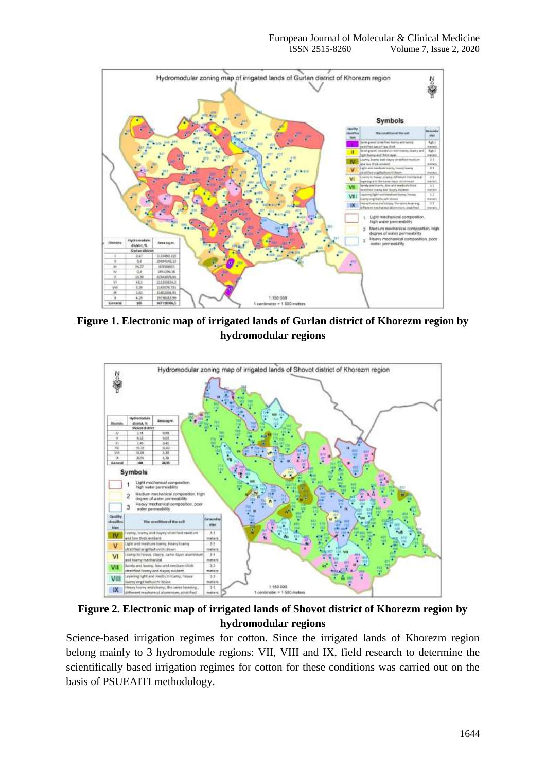

**Figure 1. Electronic map of irrigated lands of Gurlan district of Khorezm region by hydromodular regions**



**Figure 2. Electronic map of irrigated lands of Shovot district of Khorezm region by hydromodular regions**

Science-based irrigation regimes for cotton. Since the irrigated lands of Khorezm region belong mainly to 3 hydromodule regions: VII, VIII and IX, field research to determine the scientifically based irrigation regimes for cotton for these conditions was carried out on the basis of PSUEAITI methodology.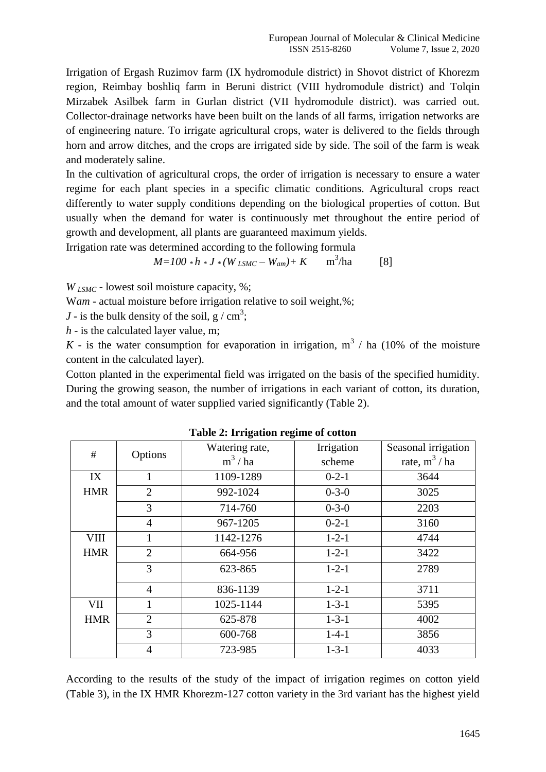Irrigation of Ergash Ruzimov farm (IX hydromodule district) in Shovot district of Khorezm region, Reimbay boshliq farm in Beruni district (VIII hydromodule district) and Tolqin Mirzabek Asilbek farm in Gurlan district (VII hydromodule district). was carried out. Collector-drainage networks have been built on the lands of all farms, irrigation networks are of engineering nature. To irrigate agricultural crops, water is delivered to the fields through horn and arrow ditches, and the crops are irrigated side by side. The soil of the farm is weak and moderately saline.

In the cultivation of agricultural crops, the order of irrigation is necessary to ensure a water regime for each plant species in a specific climatic conditions. Agricultural crops react differently to water supply conditions depending on the biological properties of cotton. But usually when the demand for water is continuously met throughout the entire period of growth and development, all plants are guaranteed maximum yields.

Irrigation rate was determined according to the following formula

$$
M = 100 * h * J * (W_{LSMC} - W_{am}) + K \qquad m^3/ha \qquad [8]
$$

*W LSMC* - lowest soil moisture capacity, %;

W*am* - actual moisture before irrigation relative to soil weight,%;

*J* - is the bulk density of the soil,  $g / cm^3$ ;

*h* - is the calculated layer value, m;

K - is the water consumption for evaporation in irrigation,  $m^3$  / ha (10% of the moisture content in the calculated layer).

Cotton planted in the experimental field was irrigated on the basis of the specified humidity. During the growing season, the number of irrigations in each variant of cotton, its duration, and the total amount of water supplied varied significantly (Table 2).

| Table 2. If rigation regnite of cotton |                |                              |             |                     |  |
|----------------------------------------|----------------|------------------------------|-------------|---------------------|--|
| $^{\#}$                                |                | Watering rate,<br>Irrigation |             | Seasonal irrigation |  |
|                                        | Options        | $m^3/ha$                     | scheme      | rate, $m^3 / ha$    |  |
| IX                                     | $\mathbf{1}$   | 1109-1289                    | $0-2-1$     | 3644                |  |
| <b>HMR</b>                             | $\overline{2}$ | 992-1024                     | $0 - 3 - 0$ | 3025                |  |
|                                        | 3              | 714-760                      | $0 - 3 - 0$ | 2203                |  |
|                                        | $\overline{4}$ | 967-1205                     | $0 - 2 - 1$ | 3160                |  |
| <b>VIII</b>                            |                | 1142-1276                    | $1 - 2 - 1$ | 4744                |  |
| <b>HMR</b>                             | $\overline{2}$ | 664-956                      | $1 - 2 - 1$ | 3422                |  |
|                                        | 3              | 623-865                      | $1 - 2 - 1$ | 2789                |  |
|                                        | $\overline{4}$ | 836-1139                     | $1 - 2 - 1$ | 3711                |  |
| VII                                    | $\mathbf{1}$   | 1025-1144                    | $1 - 3 - 1$ | 5395                |  |
| <b>HMR</b>                             | $\overline{2}$ | 625-878                      | $1 - 3 - 1$ | 4002                |  |
|                                        | 3              | 600-768                      | $1 - 4 - 1$ | 3856                |  |
|                                        | $\overline{4}$ | 723-985                      | $1 - 3 - 1$ | 4033                |  |

| Table 2: Irrigation regime of cotton |  |  |
|--------------------------------------|--|--|
|--------------------------------------|--|--|

According to the results of the study of the impact of irrigation regimes on cotton yield (Table 3), in the IX HMR Khorezm-127 cotton variety in the 3rd variant has the highest yield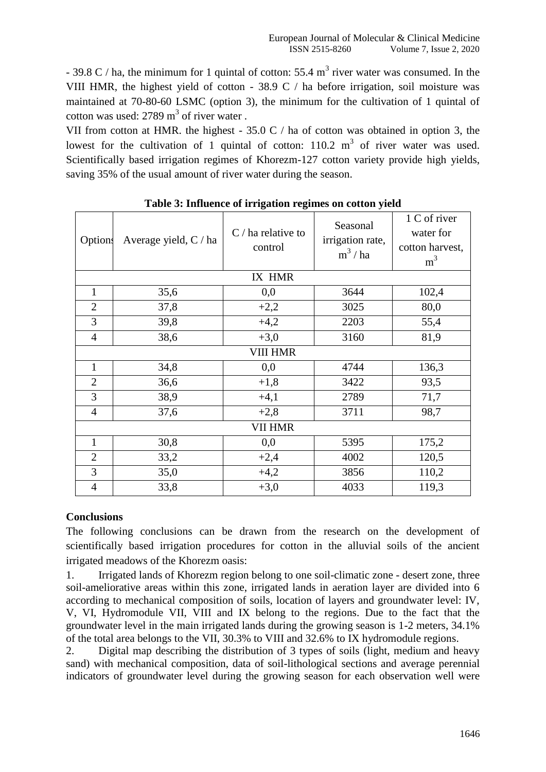- 39.8 C / ha, the minimum for 1 quintal of cotton: 55.4  $m<sup>3</sup>$  river water was consumed. In the VIII HMR, the highest yield of cotton - 38.9 C / ha before irrigation, soil moisture was maintained at 70-80-60 LSMC (option 3), the minimum for the cultivation of 1 quintal of cotton was used:  $2789 \text{ m}^3$  of river water.

VII from cotton at HMR. the highest - 35.0 C / ha of cotton was obtained in option 3, the lowest for the cultivation of 1 quintal of cotton:  $110.2 \text{ m}^3$  of river water was used. Scientifically based irrigation regimes of Khorezm-127 cotton variety provide high yields, saving 35% of the usual amount of river water during the season.

| <b>Options</b>  | Average yield, C / ha | $C/$ ha relative to<br>control | Seasonal<br>irrigation rate,<br>$m^3/ha$ | 1 C of river<br>water for<br>cotton harvest,<br>m <sup>3</sup> |  |  |  |
|-----------------|-----------------------|--------------------------------|------------------------------------------|----------------------------------------------------------------|--|--|--|
| IX HMR          |                       |                                |                                          |                                                                |  |  |  |
| $\mathbf{1}$    | 35,6                  | 0,0                            | 3644                                     | 102,4                                                          |  |  |  |
| $\overline{2}$  | 37,8                  | $+2,2$                         | 3025                                     | 80,0                                                           |  |  |  |
| 3               | 39,8                  | $+4,2$                         | 2203                                     | 55,4                                                           |  |  |  |
| $\overline{4}$  | 38,6                  | $+3,0$                         | 3160                                     | 81,9                                                           |  |  |  |
| <b>VIII HMR</b> |                       |                                |                                          |                                                                |  |  |  |
| $\mathbf{1}$    | 34,8                  | 0,0                            | 4744                                     | 136,3                                                          |  |  |  |
| $\overline{2}$  | 36,6                  | $+1,8$                         | 3422                                     | 93,5                                                           |  |  |  |
| 3               | 38,9                  | $+4,1$                         | 2789                                     | 71,7                                                           |  |  |  |
| $\overline{4}$  | 37,6                  | $+2,8$                         | 3711                                     | 98,7                                                           |  |  |  |
| <b>VII HMR</b>  |                       |                                |                                          |                                                                |  |  |  |
| 1               | 30,8                  | 0,0                            | 5395                                     | 175,2                                                          |  |  |  |
| $\overline{2}$  | 33,2                  | $+2,4$                         | 4002                                     | 120,5                                                          |  |  |  |
| 3               | 35,0                  | $+4,2$                         | 3856                                     | 110,2                                                          |  |  |  |
| 4               | 33,8                  | $+3,0$                         | 4033                                     | 119,3                                                          |  |  |  |

# **Table 3: Influence of irrigation regimes on cotton yield**

# **Conclusions**

The following conclusions can be drawn from the research on the development of scientifically based irrigation procedures for cotton in the alluvial soils of the ancient irrigated meadows of the Khorezm oasis:

1. Irrigated lands of Khorezm region belong to one soil-climatic zone - desert zone, three soil-ameliorative areas within this zone, irrigated lands in aeration layer are divided into 6 according to mechanical composition of soils, location of layers and groundwater level: IV, V, VI, Hydromodule VII, VIII and IX belong to the regions. Due to the fact that the groundwater level in the main irrigated lands during the growing season is 1-2 meters, 34.1% of the total area belongs to the VII, 30.3% to VIII and 32.6% to IX hydromodule regions.

2. Digital map describing the distribution of 3 types of soils (light, medium and heavy sand) with mechanical composition, data of soil-lithological sections and average perennial indicators of groundwater level during the growing season for each observation well were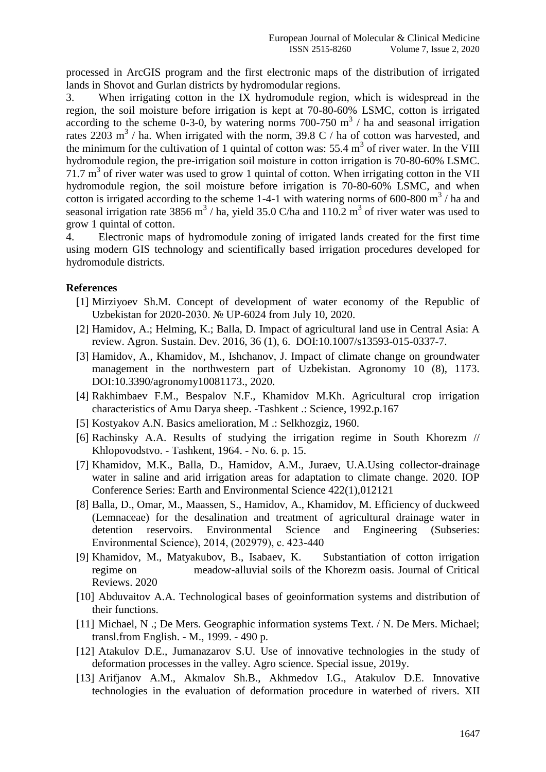processed in ArcGIS program and the first electronic maps of the distribution of irrigated lands in Shovot and Gurlan districts by hydromodular regions.

3. When irrigating cotton in the IX hydromodule region, which is widespread in the region, the soil moisture before irrigation is kept at 70-80-60% LSMC, cotton is irrigated according to the scheme 0-3-0, by watering norms  $700-750$  m<sup>3</sup> / ha and seasonal irrigation rates 2203 m<sup>3</sup> / ha. When irrigated with the norm, 39.8 C / ha of cotton was harvested, and the minimum for the cultivation of 1 quintal of cotton was:  $55.4 \text{ m}^3$  of river water. In the VIII hydromodule region, the pre-irrigation soil moisture in cotton irrigation is 70-80-60% LSMC.  $71.7 \text{ m}^3$  of river water was used to grow 1 quintal of cotton. When irrigating cotton in the VII hydromodule region, the soil moisture before irrigation is 70-80-60% LSMC, and when cotton is irrigated according to the scheme 1-4-1 with watering norms of 600-800  $\text{m}^3$  / ha and seasonal irrigation rate 3856 m<sup>3</sup> / ha, yield 35.0 C/ha and 110.2 m<sup>3</sup> of river water was used to grow 1 quintal of cotton.

4. Electronic maps of hydromodule zoning of irrigated lands created for the first time using modern GIS technology and scientifically based irrigation procedures developed for hydromodule districts.

## **References**

- [1] Mirziyoev Sh.M. Concept of development of water economy of the Republic of Uzbekistan for 2020-2030. № UP-6024 from July 10, 2020.
- [2] Hamidov, A.; Helming, K.; Balla, D. Impact of agricultural land use in Central Asia: A review. Agron. Sustain. Dev. 2016, 36 (1), 6. DOI:10.1007/s13593-015-0337-7.
- [3] Hamidov, A., Khamidov, M., Ishchanov, J. Impact of climate change on groundwater management in the northwestern part of Uzbekistan. Agronomy 10 (8), 1173. DOI:10.3390/agronomy10081173., 2020.
- [4] Rakhimbaev F.M., Bespalov N.F., Khamidov M.Kh. Agricultural crop irrigation characteristics of Amu Darya sheep. -Tashkent .: Science, 1992.p.167
- [5] Kostyakov A.N. Basics amelioration, M .: Selkhozgiz, 1960.
- [6] Rachinsky A.A. Results of studying the irrigation regime in South Khorezm // Khlopovodstvo. - Tashkent, 1964. - No. 6. p. 15.
- [7] Khamidov, M.K., Balla, D., Hamidov, A.M., Juraev, U.A.Using collector-drainage water in saline and arid irrigation areas for adaptation to climate change. 2020. IOP Conference Series: Earth and Environmental Science 422(1),012121
- [8] Balla, D., Omar, M., Maassen, S., Hamidov, A., Khamidov, M. Efficiency of duckweed (Lemnaceae) for the desalination and treatment of agricultural drainage water in detention reservoirs. Environmental Science and Engineering (Subseries: Environmental Science), 2014, (202979), с. 423-440
- [9] Khamidov, M., Matyakubov, B., Isabaev, K. Substantiation of cotton irrigation regime on meadow-alluvial soils of the Khorezm oasis. Journal of Critical Reviews. 2020
- [10] Abduvaitov A.A. Technological bases of geoinformation systems and distribution of their functions.
- [11] Michael, N .; De Mers. Geographic information systems Text. / N. De Mers. Michael; transl.from English. - M., 1999. - 490 p.
- [12] Atakulov D.E., Jumanazarov S.U. Use of innovative technologies in the study of deformation processes in the valley. Agro science. Special issue, 2019y.
- [13] Arifjanov A.M., Akmalov Sh.B., Akhmedov I.G., Atakulov D.E. Innovative technologies in the evaluation of deformation procedure in waterbed of rivers. XII